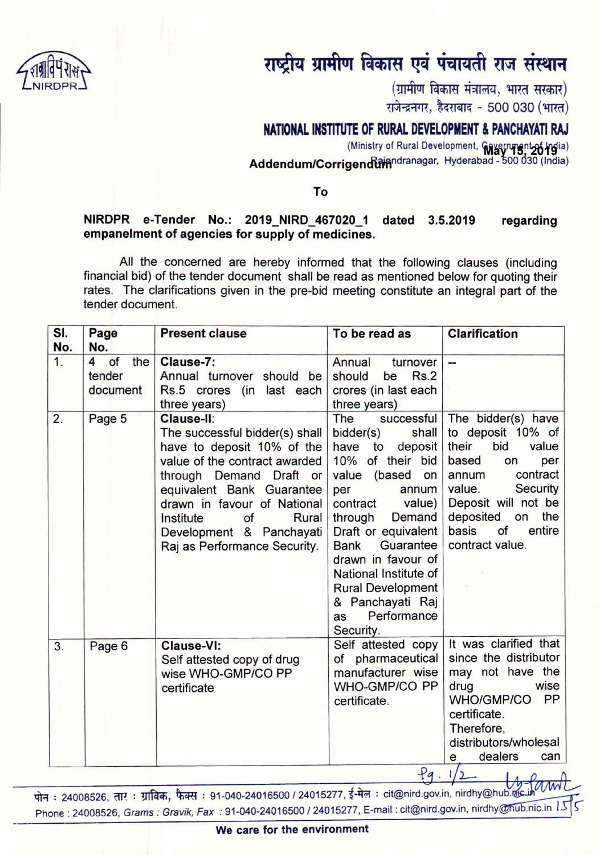

## राष्ट्रीय ग्रामीण विकास एवं पंचायती राज संस्थान

 $(\overline{\mathfrak{g}})$ मीण विकास मंत्रालय, भारत सरकार) राजेन्द्रनगर, हैदराबाद - 500 030 (भारत)

## NATIONAL INSTITUTE OF RURAL DEVELOPMENT & PANCHAYATI RAJ

(Ministry of Rural Development, Cavernment 26 hola) Addendum/Corrigendtamagar. Hyderabad - 500 030 (India)

## To

## NIRDPR e-Tender No.: 2019\_NIRD\_467020\_1 dated 3.5.2019 empanelment of agencies for supply of medicines. regarding

All the concerned are hereby informed that the following clauses (including financial bid) of the tender document shall be read as mentioned below for quoting their rates. The clarifications given in the pre-bid meeting constitute an integral part of the tender document.

| SI. | Page                                              | <b>Present clause</b>                                                                                                                                                                                                                                                                      | To be read as                                                                                                                                                                                                                                                                                                                                       | <b>Clarification</b>                                                                                                                                                                                                           |
|-----|---------------------------------------------------|--------------------------------------------------------------------------------------------------------------------------------------------------------------------------------------------------------------------------------------------------------------------------------------------|-----------------------------------------------------------------------------------------------------------------------------------------------------------------------------------------------------------------------------------------------------------------------------------------------------------------------------------------------------|--------------------------------------------------------------------------------------------------------------------------------------------------------------------------------------------------------------------------------|
| No. | No.                                               |                                                                                                                                                                                                                                                                                            |                                                                                                                                                                                                                                                                                                                                                     |                                                                                                                                                                                                                                |
| 1.  | $\overline{4}$<br>of<br>the<br>tender<br>document | Clause-7:<br>Annual turnover should be<br>Rs.5 crores (in last each<br>three years)                                                                                                                                                                                                        | Annual<br>turnover<br>should<br>Rs.2<br>be<br>crores (in last each<br>three years)                                                                                                                                                                                                                                                                  | --                                                                                                                                                                                                                             |
| 2.  | Page 5                                            | Clause-II:<br>The successful bidder(s) shall<br>have to deposit 10% of the<br>value of the contract awarded<br>through Demand Draft or<br>equivalent Bank Guarantee<br>drawn in favour of National<br>Rural<br>Institute<br>of<br>Development & Panchayati<br>Raj as Performance Security. | successful<br>The<br>bidder(s)<br>shall<br>deposit<br>have to<br>10% of their bid<br>value (based on<br>per<br>annum<br>contract<br>value)<br>Demand<br>through<br>Draft or equivalent<br>Guarantee<br><b>Bank</b><br>drawn in favour of<br>National Institute of<br><b>Rural Development</b><br>& Panchayati Raj<br>Performance<br>as<br>Security. | The bidder(s) have<br>to deposit 10% of<br>bid<br>their<br>value<br>based<br>per<br>on<br>contract<br>annum<br>value.<br>Security<br>Deposit will not be<br>deposited<br>the<br>on<br>of<br>entire<br>basis<br>contract value. |
| 3.  | Page 6                                            | <b>Clause-VI:</b><br>Self attested copy of drug<br>wise WHO-GMP/CO PP<br>certificate                                                                                                                                                                                                       | Self attested copy<br>of pharmaceutical<br>manufacturer wise<br>WHO-GMP/CO PP<br>certificate.                                                                                                                                                                                                                                                       | It was clarified that<br>since the distributor<br>may not have the<br>wise<br>drug<br><b>PP</b><br><b>WHO/GMP/CO</b><br>certificate.<br>Therefore,<br>distributors/wholesal<br>dealers<br>can<br>e                             |
|     |                                                   |                                                                                                                                                                                                                                                                                            | 9.1                                                                                                                                                                                                                                                                                                                                                 |                                                                                                                                                                                                                                |

पोन : 24008526, तार : ग्राविक, फैक्स : 91-040-24016500 / 24015277, ई-मेल : cit@nird.gov.in, nirdhy@hub.ra Phone: 24008526, *Grams: Gravik, Fax: 91-040-24016500 / 24015277, E-mail: cit@nird.gov.in, nirdhy@hub.nic.in*